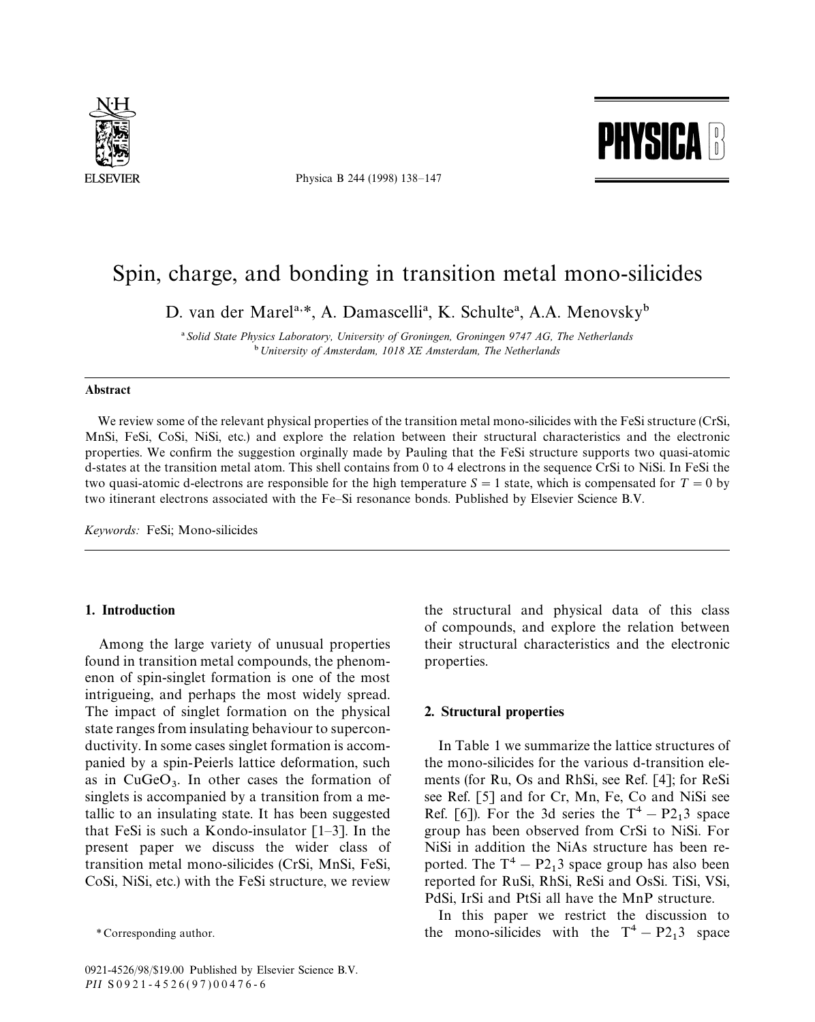

Physica B 244 (1998) 138*—*147

**PHYSICA** 

# Spin, charge, and bonding in transition metal mono-silicides

D. van der Marel<sup>a,\*</sup>, A. Damascelli<sup>a</sup>, K. Schulte<sup>a</sup>, A.A. Menovsky<sup>b</sup>

! *Solid State Physics Laboratory, University of Groningen, Groningen 9747 AG, The Netherlands* <sup>b</sup> University of Amsterdam, 1018 XE Amsterdam, The Netherlands

#### Abstract

We review some of the relevant physical properties of the transition metal mono-silicides with the FeSi structure (CrSi, MnSi, FeSi, CoSi, NiSi, etc.) and explore the relation between their structural characteristics and the electronic properties. We confirm the suggestion orginally made by Pauling that the FeSi structure supports two quasi-atomic d-states at the transition metal atom. This shell contains from 0 to 4 electrons in the sequence CrSi to NiSi. In FeSi the two quasi-atomic d-electrons are responsible for the high temperature  $S = 1$  state, which is compensated for  $T = 0$  by two itinerant electrons associated with the Fe*—*Si resonance bonds. Published by Elsevier Science B.V.

*Keywords:* FeSi; Mono-silicides

## 1. Introduction

Among the large variety of unusual properties found in transition metal compounds, the phenomenon of spin-singlet formation is one of the most intrigueing, and perhaps the most widely spread. The impact of singlet formation on the physical state ranges from insulating behaviour to superconductivity. In some cases singlet formation is accompanied by a spin-Peierls lattice deformation, such as in  $CuGeO<sub>3</sub>$ . In other cases the formation of singlets is accompanied by a transition from a metallic to an insulating state. It has been suggested that FeSi is such a Kondo-insulator [1*—*3]. In the present paper we discuss the wider class of transition metal mono-silicides (CrSi, MnSi, FeSi, CoSi, NiSi, etc.) with the FeSi structure, we review

the structural and physical data of this class of compounds, and explore the relation between their structural characteristics and the electronic properties.

## 2. Structural properties

In Table 1 we summarize the lattice structures of the mono-silicides for the various d-transition elements (for Ru, Os and RhSi, see Ref. [4]; for ReSi see Ref. [5] and for Cr, Mn, Fe, Co and NiSi see Ref. [6]). For the 3d series the  $T^4 - P2_13$  space group has been observed from CrSi to NiSi. For NiSi in addition the NiAs structure has been reported. The  $T^4 - P2_13$  space group has also been reported for RuSi, RhSi, ReSi and OsSi. TiSi, VSi, PdSi, IrSi and PtSi all have the MnP structure.

In this paper we restrict the discussion to the mono-silicides with the  $T^4 - P2_13$  space

*<sup>\*</sup>* Corresponding author.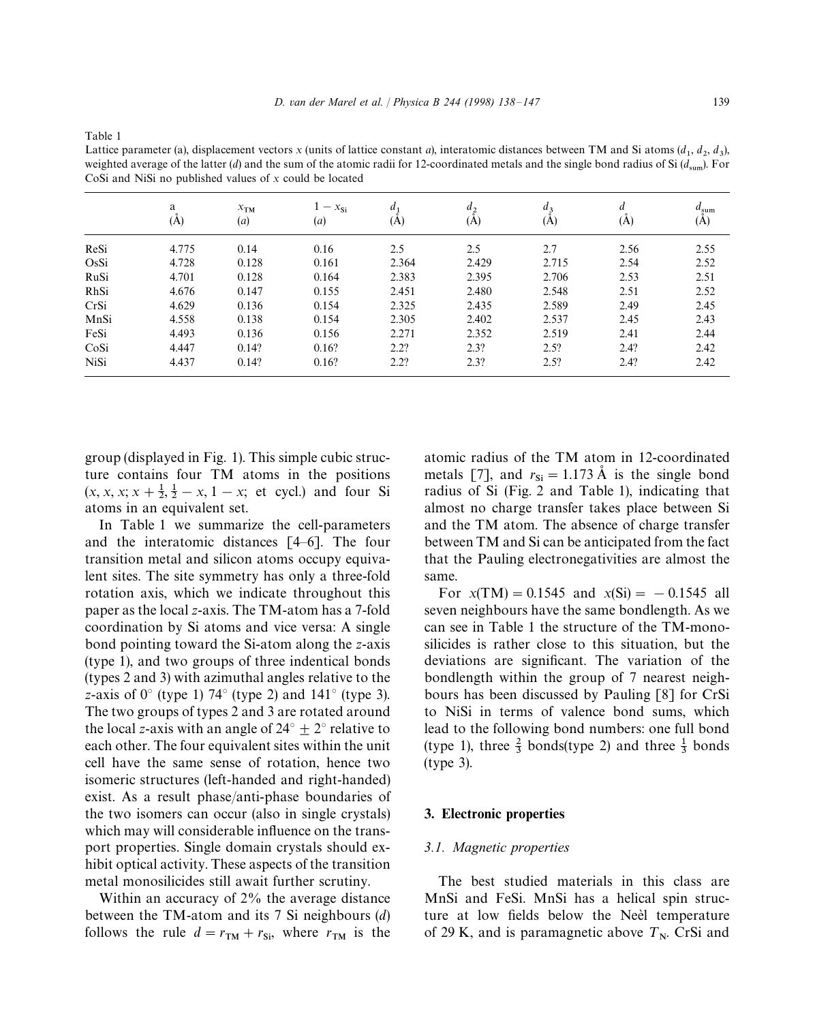Table 1

a *x*  $x_{TM}$   $1 - x_{Si}$   $d_1$ <br>
(a)  $(a)$   $(A)$  $\frac{1}{3}$  *d*  $\frac{2}{3}$  *d* **a**  $x_{TM}$  **1**  $-x_{Si}$  **d**<sub>1</sub> **d**<sub>2</sub> **d**<sub>3</sub> **d**<sub>3</sub> **d d**<sub>sum</sub><br>
(Å) (*a*) (*a*) (Å) (Å) (Å) (Å) (Å) ReSi 4.775 0.14 0.16 2.5 2.5 2.7 2.56 2.55 OsSi 4.728 0.128 0.161 2.364 2.429 2.715 2.54 2.52 RuSi 4.701 0.128 0.164 2.383 2.395 2.706 2.53 2.51 RhSi 4.676 0.147 0.155 2.451 2.480 2.548 2.51 2.52 CrSi 4.629 0.136 0.154 2.325 2.435 2.589 2.49 2.45 MnSi 4.558 0.138 0.154 2.305 2.402 2.537 2.45 2.43 FeSi 4.493 0.136 0.156 2.271 2.352 2.519 2.41 2.44 CoSi 4.447 0.14? 0.16? 2.2? 2.3? 2.5? 2.4? 2.42 NiSi 4.437 0.14? 0.16? 2.2? 2.3? 2.5? 2.4? 2.42

Lattice parameter (a), displacement vectors *x* (units of lattice constant *a*), interatomic distances between TM and Si atoms  $(d_1, d_2, d_3)$ , weighted average of the latter (*d*) and the sum of the atomic radii for 12-coordinated metals and the single bond radius of Si ( $d_{\text{sum}}$ ). For CoSi and NiSi no published values of *x* could be located

group (displayed in Fig. 1). This simple cubic structure contains four TM atoms in the positions  $(x, x, x; x + \frac{1}{2}, \frac{1}{2} - x, 1 - x;$  et cycl.) and four Si atoms in an equivalent set.

In Table 1 we summarize the cell-parameters and the interatomic distances [4*—*6]. The four transition metal and silicon atoms occupy equivalent sites. The site symmetry has only a three-fold rotation axis, which we indicate throughout this paper as the local *z*-axis. The TM-atom has a 7-fold coordination by Si atoms and vice versa: A single bond pointing toward the Si-atom along the *z*-axis (type 1), and two groups of three indentical bonds (types 2 and 3) with azimuthal angles relative to the *z*-axis of 0*°* (type 1) 74*°* (type 2) and 141*°* (type 3). The two groups of types 2 and 3 are rotated around the local *z*-axis with an angle of  $24^{\circ} + 2^{\circ}$  relative to each other. The four equivalent sites within the unit cell have the same sense of rotation, hence two isomeric structures (left-handed and right-handed) exist. As a result phase/anti-phase boundaries of the two isomers can occur (also in single crystals) which may will considerable influence on the transport properties. Single domain crystals should exhibit optical activity. These aspects of the transition metal monosilicides still await further scrutiny.

Within an accuracy of 2% the average distance between the TM-atom and its 7 Si neighbours (*d*) follows the rule  $d = r_{\text{TM}} + r_{\text{Si}}$ , where  $r_{\text{TM}}$  is the

atomic radius of the TM atom in 12-coordinated metals [7], and  $r_{\text{Si}} = 1.173 \text{ Å}$  is the single bond radius of Si (Fig. 2 and Table 1), indicating that almost no charge transfer takes place between Si and the TM atom. The absence of charge transfer between TM and Si can be anticipated from the fact that the Pauling electronegativities are almost the same.

For  $x(TM) = 0.1545$  and  $x(Si) = -0.1545$  all seven neighbours have the same bondlength. As we can see in Table 1 the structure of the TM-monosilicides is rather close to this situation, but the deviations are significant. The variation of the bondlength within the group of 7 nearest neighbours has been discussed by Pauling [8] for CrSi to NiSi in terms of valence bond sums, which lead to the following bond numbers: one full bond (type 1), three  $\frac{2}{3}$  bonds(type 2) and three  $\frac{1}{3}$  bonds (type 3).

## 3. Electronic properties

## *3.1. Magnetic properties*

The best studied materials in this class are MnSi and FeSi. MnSi has a helical spin structure at low fields below the Neèl temperature of 29 K, and is paramagnetic above  $T_N$ . CrSi and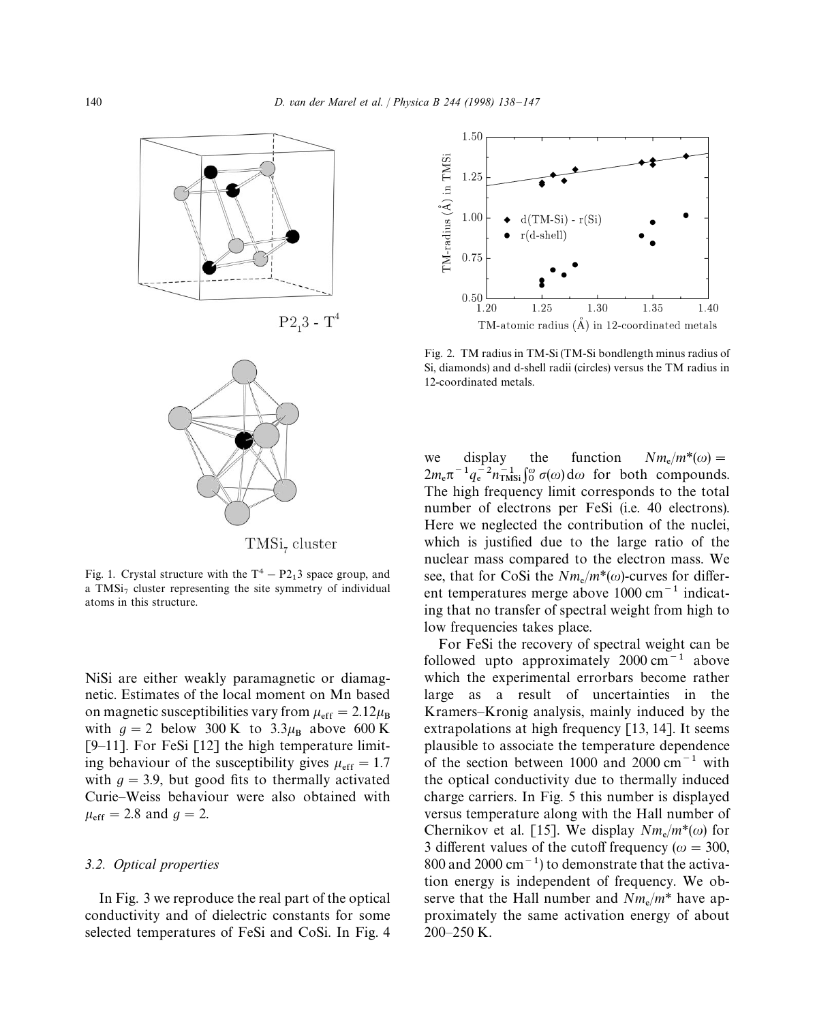



Fig. 1. Crystal structure with the  $T^4 - P2_1$ 3 space group, and a TMSi<sub>7</sub> cluster representing the site symmetry of individual atoms in this structure.

NiSi are either weakly paramagnetic or diamagnetic. Estimates of the local moment on Mn based on magnetic susceptibilities vary from  $\mu_{\text{eff}} = 2.12 \mu$ b magnetic susception ties vary from  $\mu_{eff} = 2.12 \mu_B$ <br>with  $g = 2$  below 300 K to  $3.3 \mu_B$  above 600 K [9–11]. For FeSi [12] the high temperature limiting behaviour of the susceptibility gives  $\mu_{\text{eff}} = 1.7$ with  $q = 3.9$ , but good fits to thermally activated Curie*—*Weiss behaviour were also obtained with  $\mu_{\text{eff}} = 2.8$  and  $g = 2$ .

#### *3.2. Optical properties*

In Fig. 3 we reproduce the real part of the optical conductivity and of dielectric constants for some selected temperatures of FeSi and CoSi. In Fig. 4



Fig. 2. TM radius in TM-Si (TM-Si bondlength minus radius of Si, diamonds) and d-shell radii (circles) versus the TM radius in 12-coordinated metals.

we display the function  $Nm_e$  $Nm_e/m^*(\omega) =$  $2m_e\pi^{-1}q_e^{-2}n_{\text{TMsi}}^{-1}\int_0^{\infty} \sigma(\omega) d\omega$  for both compounds. The high frequency limit corresponds to the total number of electrons per FeSi (i.e. 40 electrons). Here we neglected the contribution of the nuclei, which is justified due to the large ratio of the nuclear mass compared to the electron mass. We see, that for CoSi the  $Nm_e/m^*(\omega)$ -curves for different temperatures merge above  $1000 \text{ cm}^{-1}$  indicating that no transfer of spectral weight from high to low frequencies takes place.

For FeSi the recovery of spectral weight can be followed upto approximately  $2000 \text{ cm}^{-1}$  above which the experimental errorbars become rather large as a result of uncertainties in the Kramers*—*Kronig analysis, mainly induced by the extrapolations at high frequency [13, 14]. It seems plausible to associate the temperature dependence of the section between 1000 and 2000  $\text{cm}^{-1}$  with the optical conductivity due to thermally induced charge carriers. In Fig. 5 this number is displayed versus temperature along with the Hall number of Chernikov et al. [15]. We display  $Nm_e/m^*(\omega)$  for 3 different values of the cutoff frequency ( $\omega = 300$ , 800 and 2000  $\text{cm}^{-1}$ ) to demonstrate that the activation energy is independent of frequency. We observe that the Hall number and  $Nm_e/m^*$  have approximately the same activation energy of about 200*—*250 K.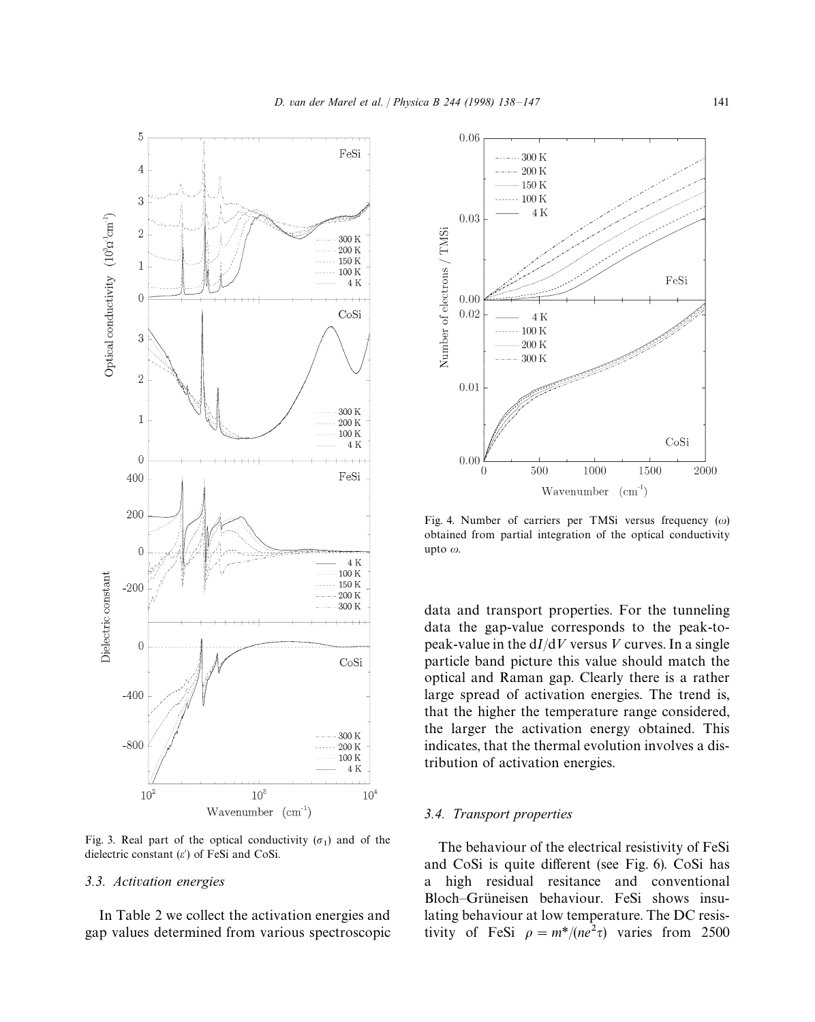

Fig. 3. Real part of the optical conductivity  $(\sigma_1)$  and of the dielectric constant  $(\varepsilon)$  of FeSi and CoSi.

## *3.3. Activation energies*

In Table 2 we collect the activation energies and gap values determined from various spectroscopic



Fig. 4. Number of carriers per TMSi versus frequency  $(\omega)$ obtained from partial integration of the optical conductivity upto  $\omega$ .

data and transport properties. For the tunneling data the gap-value corresponds to the peak-topeak-value in the  $dI/dV$  versus V curves. In a single particle band picture this value should match the optical and Raman gap. Clearly there is a rather large spread of activation energies. The trend is, that the higher the temperature range considered, the larger the activation energy obtained. This indicates, that the thermal evolution involves a distribution of activation energies.

## *3.4. Transport properties*

The behaviour of the electrical resistivity of FeSi and CoSi is quite different (see Fig. 6). CoSi has a high residual resitance and conventional Bloch–Grüneisen behaviour. FeSi shows insulating behaviour at low temperature. The DC resistivity of FeSi  $\rho = m^*/(ne^2\tau)$  varies from 2500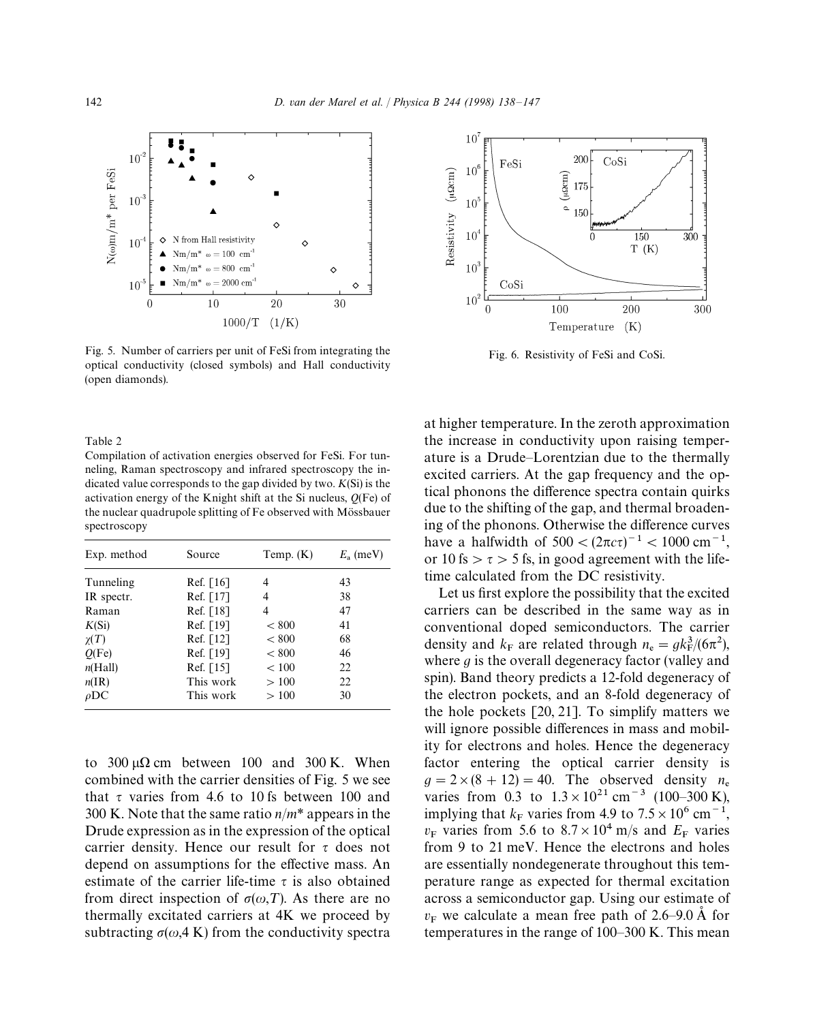

Fig. 5. Number of carriers per unit of FeSi from integrating the optical conductivity (closed symbols) and Hall conductivity (open diamonds).

Table 2

Compilation of activation energies observed for FeSi. For tunneling, Raman spectroscopy and infrared spectroscopy the indicated value corresponds to the gap divided by two. *K*(Si) is the activation energy of the Knight shift at the Si nucleus, *Q*(Fe) of the nuclear quadrupole splitting of Fe observed with Mössbauer spectroscopy

| Exp. method    | Source                  | Temp. $(K)$  | $E_a$ (meV) |
|----------------|-------------------------|--------------|-------------|
| Tunneling      | Ref. $\lceil 16 \rceil$ | 4            | 43          |
| IR spectr.     | Ref. [17]               | 4            | 38          |
| Raman          | Ref. [18]               | 4            | 47          |
| $K(S_i)$       | Ref. [19]               | ${}_{< 800}$ | 41          |
| $\chi(T)$      | Ref. $\lceil 12 \rceil$ | ${}_{< 800}$ | 68          |
| O(Fe)          | Ref. [19]               | ${}_{< 800}$ | 46          |
| n(Hall)        | Ref. $\lceil 15 \rceil$ | ${}_{< 100}$ | 22          |
| $n(\text{IR})$ | This work               | >100         | 22          |
| $\rho$ DC      | This work               | >100         | 30          |

to  $300 \mu\Omega$  cm between 100 and 300 K. When combined with the carrier densities of Fig. 5 we see that  $\tau$  varies from 4.6 to 10 fs between 100 and 300 K. Note that the same ratio *n*/*m\** appears in the Drude expression as in the expression of the optical carrier density. Hence our result for  $\tau$  does not depend on assumptions for the effective mass. An estimate of the carrier life-time  $\tau$  is also obtained from direct inspection of  $\sigma(\omega, T)$ . As there are no thermally excitated carriers at 4K we proceed by subtracting  $\sigma(\omega, 4 \text{ K})$  from the conductivity spectra



Fig. 6. Resistivity of FeSi and CoSi.

at higher temperature. In the zeroth approximation the increase in conductivity upon raising temperature is a Drude*—*Lorentzian due to the thermally excited carriers. At the gap frequency and the optical phonons the difference spectra contain quirks due to the shifting of the gap, and thermal broadening of the phonons. Otherwise the difference curves have a halfwidth of  $500 < (2\pi c\tau)^{-1} < 1000$  cm<sup>-1</sup>, or 10 fs  $> \tau > 5$  fs, in good agreement with the lifetime calculated from the DC resistivity.

Let us first explore the possibility that the excited carriers can be described in the same way as in conventional doped semiconductors. The carrier density and  $k_F$  are related through  $n_e = g k_F^3 / (6\pi^2)$ , where *g* is the overall degeneracy factor (valley and spin). Band theory predicts a 12-fold degeneracy of the electron pockets, and an 8-fold degeneracy of the hole pockets  $[20, 21]$ . To simplify matters we will ignore possible differences in mass and mobility for electrons and holes. Hence the degeneracy factor entering the optical carrier density is  $q = 2 \times (8 + 12) = 40$ . The observed density  $n_e$ varies from 0.3 to  $1.3 \times 10^{21}$  cm<sup>-3</sup> (100–300 K), implying that  $k_F$  varies from 4.9 to 7.5 × 10<sup>6</sup> cm<sup>-1</sup>, For varies from 5.6 to  $8.7 \times 10^4$  m/s and  $E_F$  varies from 5.6 to  $8.7 \times 10^4$  m/s and  $E_F$  varies from 9 to 21 meV. Hence the electrons and holes are essentially nondegenerate throughout this temperature range as expected for thermal excitation across a semiconductor gap. Using our estimate of  $v_F$  we calculate a mean free path of 2.6–9.0 Å for temperatures in the range of 100*—*300 K. This mean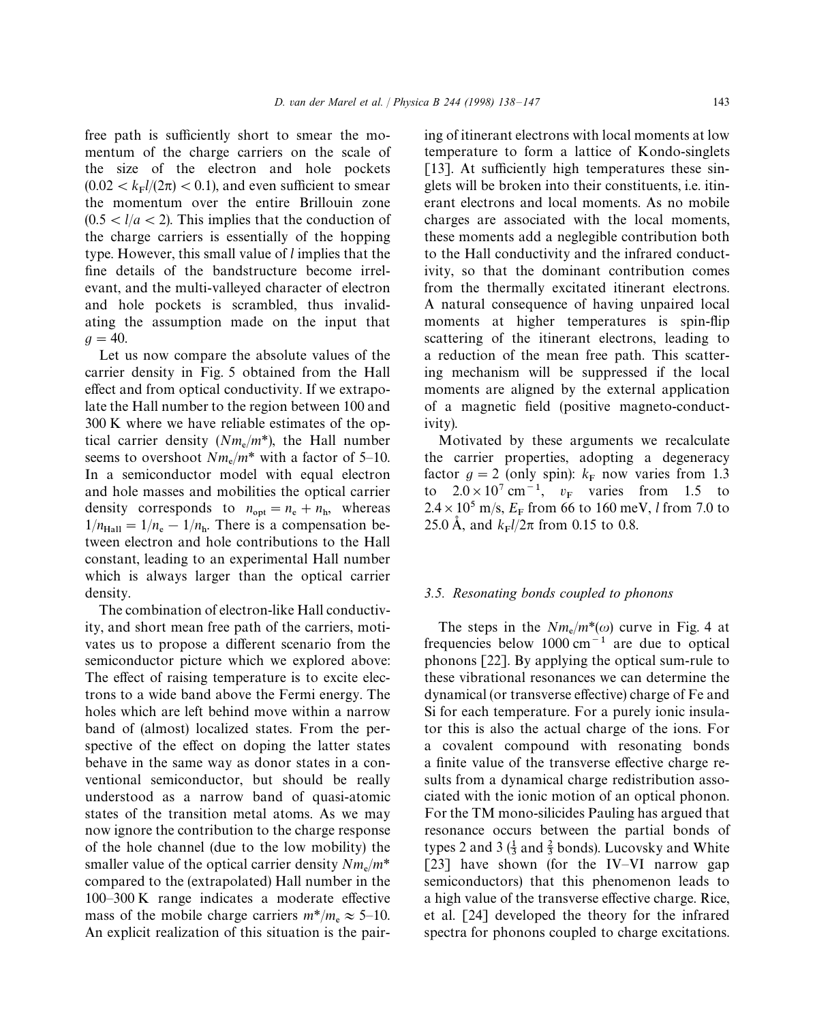free path is sufficiently short to smear the momentum of the charge carriers on the scale of the size of the electron and hole pockets  $(0.02 < k_F l/(2\pi) < 0.1)$ , and even sufficient to smear the momentum over the entire Brillouin zone  $(0.5 < l/a < 2)$ . This implies that the conduction of the charge carriers is essentially of the hopping type. However, this small value of *l* implies that the fine details of the bandstructure become irrelevant, and the multi-valleyed character of electron and hole pockets is scrambled, thus invalidating the assumption made on the input that  $g = 40.$ 

Let us now compare the absolute values of the carrier density in Fig. 5 obtained from the Hall effect and from optical conductivity. If we extrapolate the Hall number to the region between 100 and 300 K where we have reliable estimates of the optical carrier density  $(Nm_e/m^*)$ , the Hall number seems to overshoot  $Nm_e/m^*$  with a factor of 5–10. In a semiconductor model with equal electron and hole masses and mobilities the optical carrier density corresponds to  $n_{opt} = n_e + n_h$ , whereas  $1/n_{\text{Hall}} = 1/n_{\text{e}} - 1/n_{\text{h}}$ . There is a compensation between electron and hole contributions to the Hall constant, leading to an experimental Hall number which is always larger than the optical carrier density.

The combination of electron-like Hall conductivity, and short mean free path of the carriers, motivates us to propose a different scenario from the semiconductor picture which we explored above: The effect of raising temperature is to excite electrons to a wide band above the Fermi energy. The holes which are left behind move within a narrow band of (almost) localized states. From the perspective of the effect on doping the latter states behave in the same way as donor states in a conventional semiconductor, but should be really understood as a narrow band of quasi-atomic states of the transition metal atoms. As we may now ignore the contribution to the charge response of the hole channel (due to the low mobility) the smaller value of the optical carrier density  $Nm_e/m^*$ compared to the (extrapolated) Hall number in the 100*—*300 K range indicates a moderate effective mass of the mobile charge carriers  $m^*/m_e \approx 5{\text -}10$ . An explicit realization of this situation is the pair-

ing of itinerant electrons with local moments at low temperature to form a lattice of Kondo-singlets [13]. At sufficiently high temperatures these singlets will be broken into their constituents, i.e. itinerant electrons and local moments. As no mobile charges are associated with the local moments, these moments add a neglegible contribution both to the Hall conductivity and the infrared conductivity, so that the dominant contribution comes from the thermally excitated itinerant electrons. A natural consequence of having unpaired local moments at higher temperatures is spin-flip scattering of the itinerant electrons, leading to a reduction of the mean free path. This scattering mechanism will be suppressed if the local moments are aligned by the external application of a magnetic field (positive magneto-conductivity).

Motivated by these arguments we recalculate the carrier properties, adopting a degeneracy factor  $g = 2$  (only spin):  $k_F$  now varies from 1.3 to  $2.0 \times 10^{7}$  cm<sup>-1</sup>,  $v_F$  varies from 1.5 to<br>to  $2.0 \times 10^{7}$  cm<sup>-1</sup>,  $v_F$  varies from 1.5 to  $2.4 \times 10^5$  m/s,  $E_F$  from 66 to 160 meV, *l* from 7.0 to 25.0 Å, and  $k_{\rm F}l/2\pi$  from 0.15 to 0.8.

### *3.5. Resonating bonds coupled to phonons*

The steps in the  $Nm_e/m^*(\omega)$  curve in Fig. 4 at frequencies below  $1000 \text{ cm}^{-1}$  are due to optical phonons [22]. By applying the optical sum-rule to these vibrational resonances we can determine the dynamical (or transverse effective) charge of Fe and Si for each temperature. For a purely ionic insulator this is also the actual charge of the ions. For a covalent compound with resonating bonds a finite value of the transverse effective charge results from a dynamical charge redistribution associated with the ionic motion of an optical phonon. For the TM mono-silicides Pauling has argued that resonance occurs between the partial bonds of types 2 and 3  $\left(\frac{1}{3} \text{ and } \frac{2}{3} \text{ bonds}\right)$ . Lucovsky and White [23] have shown (for the IV–VI narrow gap semiconductors) that this phenomenon leads to a high value of the transverse effective charge. Rice, et al. [24] developed the theory for the infrared spectra for phonons coupled to charge excitations.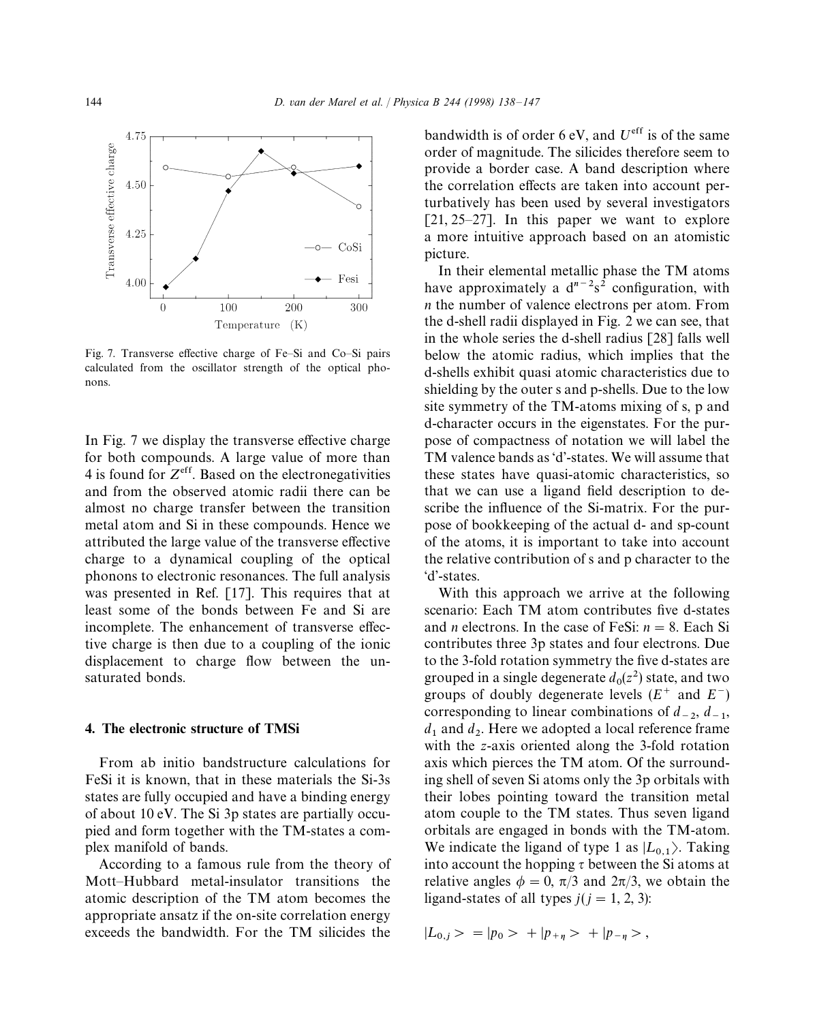

Fig. 7. Transverse effective charge of Fe*—*Si and Co*—*Si pairs calculated from the oscillator strength of the optical phonons.

In Fig. 7 we display the transverse effective charge for both compounds. A large value of more than 4 is found for  $Z^{\text{eff}}$ . Based on the electronegativities and from the observed atomic radii there can be almost no charge transfer between the transition metal atom and Si in these compounds. Hence we attributed the large value of the transverse effective charge to a dynamical coupling of the optical phonons to electronic resonances. The full analysis was presented in Ref. [17]. This requires that at least some of the bonds between Fe and Si are incomplete. The enhancement of transverse effective charge is then due to a coupling of the ionic displacement to charge flow between the unsaturated bonds.

## 4. The electronic structure of TMSi

From ab initio bandstructure calculations for FeSi it is known, that in these materials the Si-3s states are fully occupied and have a binding energy of about 10 eV. The Si 3p states are partially occupied and form together with the TM-states a complex manifold of bands.

According to a famous rule from the theory of Mott*—*Hubbard metal-insulator transitions the atomic description of the TM atom becomes the appropriate ansatz if the on-site correlation energy exceeds the bandwidth. For the TM silicides the

bandwidth is of order 6 eV, and  $U^{\text{eff}}$  is of the same order of magnitude. The silicides therefore seem to provide a border case. A band description where the correlation effects are taken into account perturbatively has been used by several investigators [21, 25*—*27]. In this paper we want to explore a more intuitive approach based on an atomistic picture.

In their elemental metallic phase the TM atoms have approximately a  $d^{n-2}s^2$  configuration, with *n* the number of valence electrons per atom. From the d-shell radii displayed in Fig. 2 we can see, that in the whole series the d-shell radius [28] falls well below the atomic radius, which implies that the d-shells exhibit quasi atomic characteristics due to shielding by the outer s and p-shells. Due to the low site symmetry of the TM-atoms mixing of s, p and d-character occurs in the eigenstates. For the purpose of compactness of notation we will label the TM valence bands as 'd'-states. We will assume that these states have quasi-atomic characteristics, so that we can use a ligand field description to describe the influence of the Si-matrix. For the purpose of bookkeeping of the actual d- and sp-count of the atoms, it is important to take into account the relative contribution of s and p character to the 'd'-states.

With this approach we arrive at the following scenario: Each TM atom contributes five d-states and *n* electrons. In the case of FeSi:  $n = 8$ . Each Si contributes three 3p states and four electrons. Due to the 3-fold rotation symmetry the five d-states are grouped in a single degenerate  $d_0(z^2)$  state, and two grouped in a single degenerate  $u_0(z)$  state, and two<br>groups of doubly degenerate levels  $(E^+$  and  $E^-$ ) corresponding to linear combinations of  $d_{-2}$ ,  $d_{-1}$ , *d*<sub>1</sub> and *d*<sub>2</sub>. Here we adopted a local reference frame  $a_1$  and  $a_2$ . Here we adopted a local reference hame<br>with the *z*-axis oriented along the 3-fold rotation axis which pierces the TM atom. Of the surrounding shell of seven Si atoms only the 3p orbitals with their lobes pointing toward the transition metal atom couple to the TM states. Thus seven ligand orbitals are engaged in bonds with the TM-atom. We indicate the ligand of type 1 as  $|L_{0,1}\rangle$ . Taking into account the hopping  $\tau$  between the Si atoms at relative angles  $\phi = 0$ ,  $\pi/3$  and  $2\pi/3$ , we obtain the ligand-states of all types  $j(i = 1, 2, 3)$ :

$$
|L_{0,j}\rangle = |p_0\rangle + |p_{+\eta}\rangle + |p_{-\eta}\rangle,
$$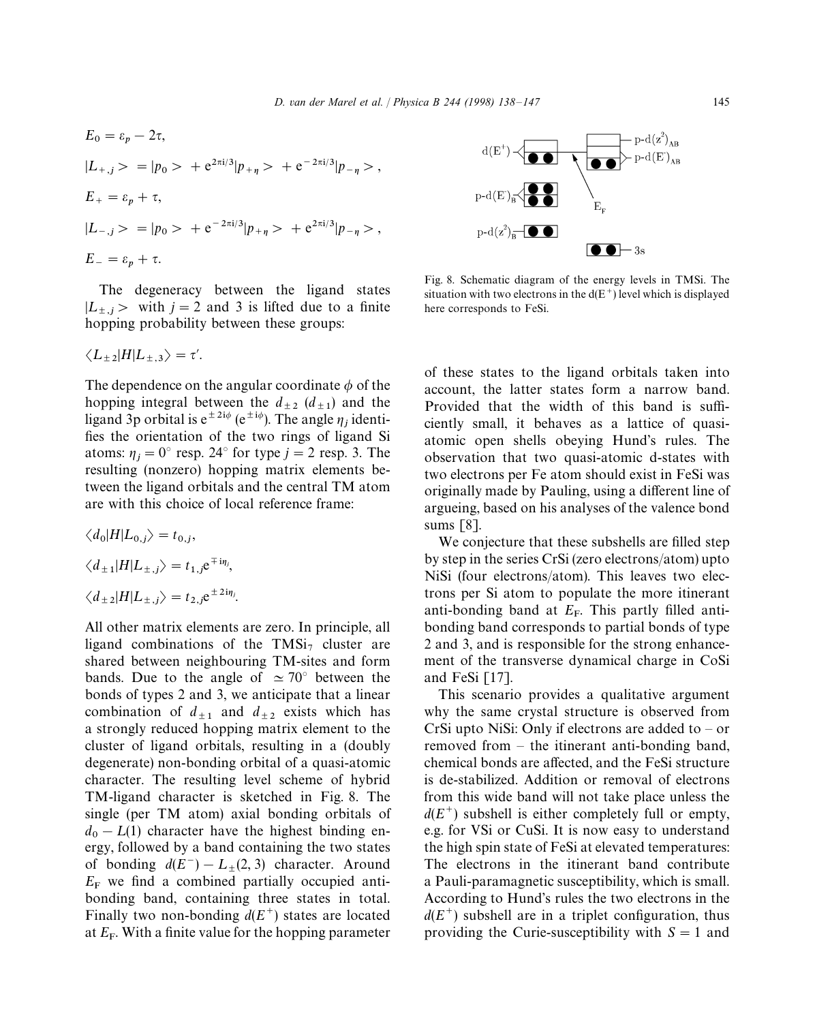$$
E_0 = \varepsilon_p - 2\tau,
$$
  
\n
$$
|L_{+,j}\rangle = |p_0\rangle + e^{2\pi i/3}|p_{+\eta}\rangle + e^{-2\pi i/3}|p_{-\eta}\rangle,
$$
  
\n
$$
E_+ = \varepsilon_p + \tau,
$$
  
\n
$$
|L_{-,j}\rangle = |p_0\rangle + e^{-2\pi i/3}|p_{+\eta}\rangle + e^{2\pi i/3}|p_{-\eta}\rangle,
$$
  
\n
$$
E_- = \varepsilon_p + \tau.
$$

The degeneracy between the ligand states  $|L_{\pm,j}\rangle$  with  $j=2$  and 3 is lifted due to a finite hopping probability between these groups:

$$
\langle L_{\pm 2} | H | L_{\pm,3} \rangle = \tau'.
$$

The dependence on the angular coordinate  $\phi$  of the hopping integral between the  $d_{\pm 2}$  ( $d_{\pm 1}$ ) and the ligand 3p orbital is  $e^{\pm 2i\phi}$  ( $e^{\pm i\phi}$ ). The angle  $\eta_j$  identi fies the orientation of the two rings of ligand Si atoms:  $\eta_j = 0^\circ$  resp. 24<sup>°</sup> for type  $j = 2$  resp. 3. The resulting (nonzero) hopping matrix elements between the ligand orbitals and the central TM atom are with this choice of local reference frame:

$$
\langle d_0|H|L_{0,j}\rangle = t_{0,j},
$$
  

$$
\langle d_{\pm 1}|H|L_{\pm,j}\rangle = t_{1,j}e^{\mp i\eta_j},
$$
  

$$
\langle d_{\pm 2}|H|L_{\pm,j}\rangle = t_{2,j}e^{\pm 2i\eta_j}.
$$

All other matrix elements are zero. In principle, all ligand combinations of the  $TMSi<sub>7</sub>$  cluster are shared between neighbouring TM-sites and form bands. Due to the angle of  $\approx 70^\circ$  between the bonds of types 2 and 3, we anticipate that a linear combination of  $d_{\pm 1}$  and  $d_{\pm 2}$  exists which has a strongly reduced hopping matrix element to the cluster of ligand orbitals, resulting in a (doubly degenerate) non-bonding orbital of a quasi-atomic character. The resulting level scheme of hybrid TM-ligand character is sketched in Fig. 8. The single (per TM atom) axial bonding orbitals of  $d_0 - L(1)$  character have the highest binding energy, followed by a band containing the two states of bonding  $d(E^-) - L_{\pm}(2, 3)$  character. Around  $E_F$  we find a combined partially occupied antibonding band, containing three states in total. Finally two non-bonding  $d(E^+)$  states are located at  $E_{\text{F}}$ . With a finite value for the hopping parameter



Fig. 8. Schematic diagram of the energy levels in TMSi. The situation with two electrons in the  $d(E^+)$  level which is displayed here corresponds to FeSi.

of these states to the ligand orbitals taken into account, the latter states form a narrow band. Provided that the width of this band is sufficiently small, it behaves as a lattice of quasiatomic open shells obeying Hund's rules. The observation that two quasi-atomic d-states with two electrons per Fe atom should exist in FeSi was originally made by Pauling, using a different line of argueing, based on his analyses of the valence bond sums [8].

We conjecture that these subshells are filled step by step in the series CrSi (zero electrons/atom) upto NiSi (four electrons/atom). This leaves two electrons per Si atom to populate the more itinerant anti-bonding band at  $E_F$ . This partly filled antibonding band corresponds to partial bonds of type 2 and 3, and is responsible for the strong enhancement of the transverse dynamical charge in CoSi and FeSi [17].

This scenario provides a qualitative argument why the same crystal structure is observed from CrSi upto NiSi: Only if electrons are added to *—* or removed from *—* the itinerant anti-bonding band, chemical bonds are affected, and the FeSi structure is de-stabilized. Addition or removal of electrons from this wide band will not take place unless the  $d(E^+)$  subshell is either completely full or empty, e.g. for VSi or CuSi. It is now easy to understand the high spin state of FeSi at elevated temperatures: The electrons in the itinerant band contribute a Pauli-paramagnetic susceptibility, which is small. According to Hund's rules the two electrons in the  $d(E^+)$  subshell are in a triplet configuration, thus providing the Curie-susceptibility with  $S = 1$  and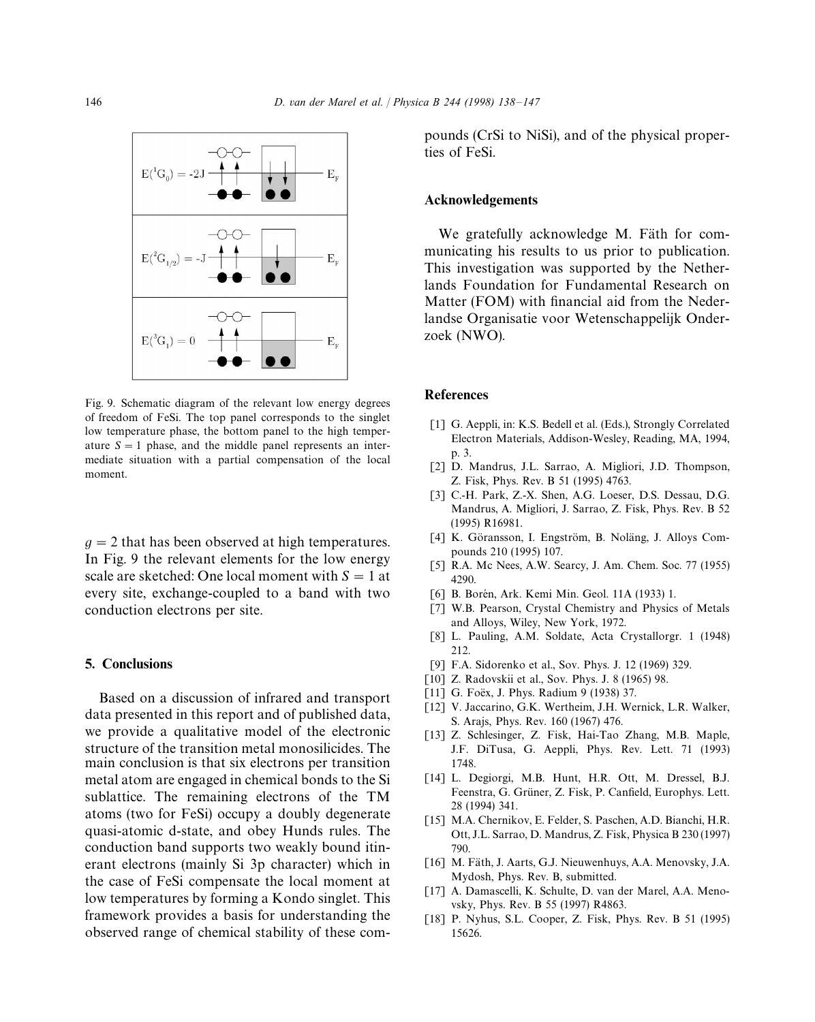

Fig. 9. Schematic diagram of the relevant low energy degrees of freedom of FeSi. The top panel corresponds to the singlet low temperature phase, the bottom panel to the high temperature  $S = 1$  phase, and the middle panel represents an intermediate situation with a partial compensation of the local moment.

 $q = 2$  that has been observed at high temperatures. In Fig. 9 the relevant elements for the low energy scale are sketched: One local moment with  $S = 1$  at every site, exchange-coupled to a band with two conduction electrons per site.

## 5. Conclusions

Based on a discussion of infrared and transport data presented in this report and of published data, we provide a qualitative model of the electronic structure of the transition metal monosilicides. The main conclusion is that six electrons per transition metal atom are engaged in chemical bonds to the Si sublattice. The remaining electrons of the TM atoms (two for FeSi) occupy a doubly degenerate quasi-atomic d-state, and obey Hunds rules. The conduction band supports two weakly bound itinerant electrons (mainly Si 3p character) which in the case of FeSi compensate the local moment at low temperatures by forming a Kondo singlet. This framework provides a basis for understanding the observed range of chemical stability of these compounds (CrSi to NiSi), and of the physical properties of FeSi.

## Acknowledgements

We gratefully acknowledge M. Fäth for communicating his results to us prior to publication. This investigation was supported by the Netherlands Foundation for Fundamental Research on Matter (FOM) with financial aid from the Nederlandse Organisatie voor Wetenschappelijk Onderzoek (NWO).

## References

- [1] G. Aeppli, in: K.S. Bedell et al. (Eds.), Strongly Correlated Electron Materials, Addison-Wesley, Reading, MA, 1994, p. 3.
- [2] D. Mandrus, J.L. Sarrao, A. Migliori, J.D. Thompson, Z. Fisk, Phys. Rev. B 51 (1995) 4763.
- [3] C.-H. Park, Z.-X. Shen, A.G. Loeser, D.S. Dessau, D.G. Mandrus, A. Migliori, J. Sarrao, Z. Fisk, Phys. Rev. B 52 (1995) R16981.
- [4] K. Göransson, I. Engström, B. Noläng, J. Alloys Compounds 210 (1995) 107.
- [5] R.A. Mc Nees, A.W. Searcy, J. Am. Chem. Soc. 77 (1955) 4290.
- [6] B. Borén, Ark. Kemi Min. Geol. 11A (1933) 1.
- [7] W.B. Pearson, Crystal Chemistry and Physics of Metals and Alloys, Wiley, New York, 1972.
- [8] L. Pauling, A.M. Soldate, Acta Crystallorgr. 1 (1948) 212.
- [9] F.A. Sidorenko et al., Sov. Phys. J. 12 (1969) 329.
- [10] Z. Radovskii et al., Sov. Phys. J. 8 (1965) 98.
- [11] G. Foëx, J. Phys. Radium 9 (1938) 37.
- [12] V. Jaccarino, G.K. Wertheim, J.H. Wernick, L.R. Walker, S. Arajs, Phys. Rev. 160 (1967) 476.
- [13] Z. Schlesinger, Z. Fisk, Hai-Tao Zhang, M.B. Maple, J.F. DiTusa, G. Aeppli, Phys. Rev. Lett. 71 (1993) 1748.
- [14] L. Degiorgi, M.B. Hunt, H.R. Ott, M. Dressel, B.J. Feenstra, G. Grüner, Z. Fisk, P. Canfield, Europhys. Lett. 28 (1994) 341.
- [15] M.A. Chernikov, E. Felder, S. Paschen, A.D. Bianchi, H.R. Ott, J.L. Sarrao, D. Mandrus, Z. Fisk, Physica B 230 (1997) 790.
- [16] M. Fäth, J. Aarts, G.J. Nieuwenhuys, A.A. Menovsky, J.A. Mydosh, Phys. Rev. B, submitted.
- [17] A. Damascelli, K. Schulte, D. van der Marel, A.A. Menovsky, Phys. Rev. B 55 (1997) R4863.
- [18] P. Nyhus, S.L. Cooper, Z. Fisk, Phys. Rev. B 51 (1995) 15626.